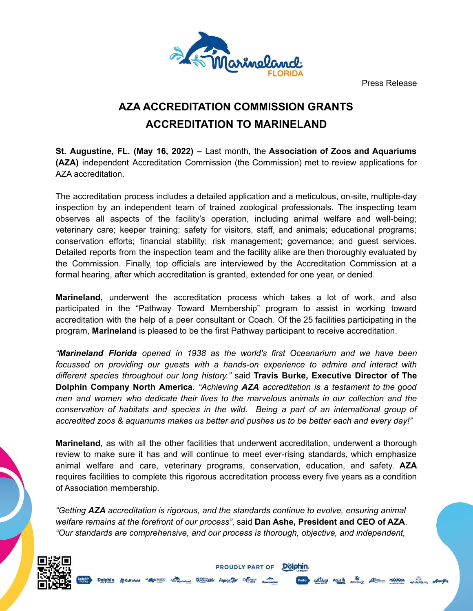Press Release



## **AZA ACCREDITATION COMMISSION GRANTS ACCREDITATION TO MARINELAND**

**St. Augustine, FL. (May 16, 2022) –** Last month, the **Association of Zoos and Aquariums (AZA)** independent Accreditation Commission (the Commission) met to review applications for AZA accreditation.

The accreditation process includes a detailed application and a meticulous, on-site, multiple-day inspection by an independent team of trained zoological professionals. The inspecting team observes all aspects of the facility's operation, including animal welfare and well-being; veterinary care; keeper training; safety for visitors, staff, and animals; educational programs; conservation efforts; financial stability; risk management; governance; and guest services. Detailed reports from the inspection team and the facility alike are then thoroughly evaluated by the Commission. Finally, top officials are interviewed by the Accreditation Commission at a formal hearing, after which accreditation is granted, extended for one year, or denied.

**Marineland**, underwent the accreditation process which takes a lot of work, and also participated in the "Pathway Toward Membership" program to assist in working toward accreditation with the help of a peer consultant or Coach. Of the 25 facilities participating in the program, **Marineland** is pleased to be the first Pathway participant to receive accreditation.

*"Marineland Florida opened in 1938 as the world's first Oceanarium and we have been focussed on providing our guests with a hands-on experience to admire and interact with different species throughout our long history."* said **Travis Burke, Executive Director of The Dolphin Company North America**. *"Achieving AZA accreditation is a testament to the good men and women who dedicate their lives to the marvelous animals in our collection and the conservation of habitats and species in the wild. Being a part of an international group of accredited zoos & aquariums makes us better and pushes us to be better each and every day!"*

**Marineland**, as with all the other facilities that underwent accreditation, underwent a thorough review to make sure it has and will continue to meet ever-rising standards, which emphasize animal welfare and care, veterinary programs, conservation, education, and safety. **AZA** requires facilities to complete this rigorous accreditation process every five years as a condition of Association membership.

*"Getting AZA accreditation is rigorous, and the standards continue to evolve, ensuring animal welfare remains at the forefront of our process"*, said **Dan Ashe, President and CEO of AZA**. *"Our standards are comprehensive, and our process is thorough, objective, and independent,*

**PROUDLY PART OF** 

Dölphin.